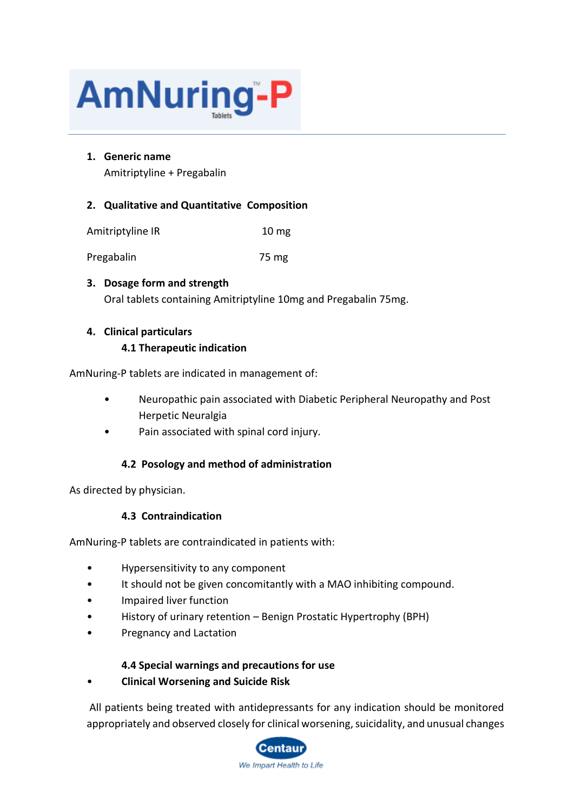

## **1. Generic name**

Amitriptyline + Pregabalin

## **2. Qualitative and Quantitative Composition**

| Amitriptyline IR | 10 <sub>mg</sub> |
|------------------|------------------|
|------------------|------------------|

Pregabalin 75 mg

# **3. Dosage form and strength** Oral tablets containing Amitriptyline 10mg and Pregabalin 75mg.

## **4. Clinical particulars**

### **4.1 Therapeutic indication**

AmNuring-P tablets are indicated in management of:

- Neuropathic pain associated with Diabetic Peripheral Neuropathy and Post Herpetic Neuralgia
- Pain associated with spinal cord injury.

## **4.2 Posology and method of administration**

As directed by physician.

## **4.3 Contraindication**

AmNuring-P tablets are contraindicated in patients with:

- Hypersensitivity to any component
- It should not be given concomitantly with a MAO inhibiting compound.
- Impaired liver function
- History of urinary retention Benign Prostatic Hypertrophy (BPH)
- Pregnancy and Lactation

## **4.4 Special warnings and precautions for use**

• **Clinical Worsening and Suicide Risk**

All patients being treated with antidepressants for any indication should be monitored appropriately and observed closely for clinical worsening, suicidality, and unusual changes

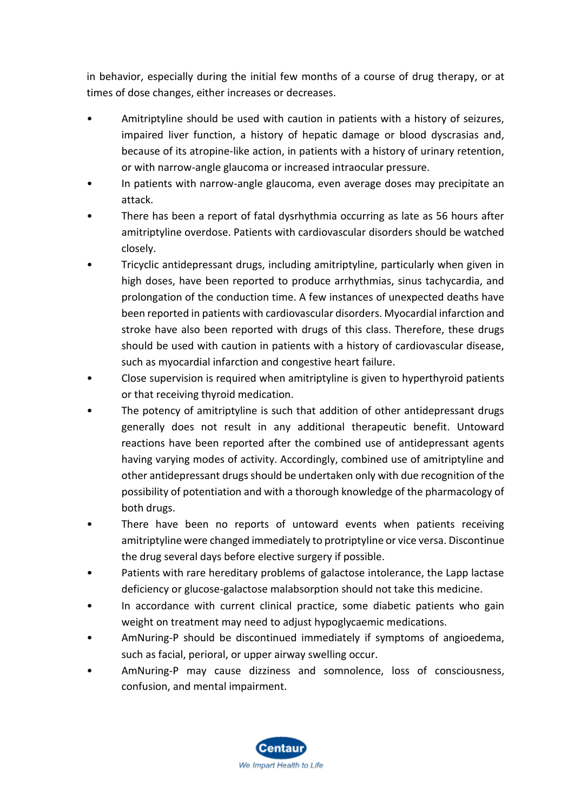in behavior, especially during the initial few months of a course of drug therapy, or at times of dose changes, either increases or decreases.

- Amitriptyline should be used with caution in patients with a history of seizures, impaired liver function, a history of hepatic damage or blood dyscrasias and, because of its atropine-like action, in patients with a history of urinary retention, or with narrow-angle glaucoma or increased intraocular pressure.
- In patients with narrow-angle glaucoma, even average doses may precipitate an attack.
- There has been a report of fatal dysrhythmia occurring as late as 56 hours after amitriptyline overdose. Patients with cardiovascular disorders should be watched closely.
- Tricyclic antidepressant drugs, including amitriptyline, particularly when given in high doses, have been reported to produce arrhythmias, sinus tachycardia, and prolongation of the conduction time. A few instances of unexpected deaths have been reported in patients with cardiovascular disorders. Myocardial infarction and stroke have also been reported with drugs of this class. Therefore, these drugs should be used with caution in patients with a history of cardiovascular disease, such as myocardial infarction and congestive heart failure.
- Close supervision is required when amitriptyline is given to hyperthyroid patients or that receiving thyroid medication.
- The potency of amitriptyline is such that addition of other antidepressant drugs generally does not result in any additional therapeutic benefit. Untoward reactions have been reported after the combined use of antidepressant agents having varying modes of activity. Accordingly, combined use of amitriptyline and other antidepressant drugs should be undertaken only with due recognition of the possibility of potentiation and with a thorough knowledge of the pharmacology of both drugs.
- There have been no reports of untoward events when patients receiving amitriptyline were changed immediately to protriptyline or vice versa. Discontinue the drug several days before elective surgery if possible.
- Patients with rare hereditary problems of galactose intolerance, the Lapp lactase deficiency or glucose-galactose malabsorption should not take this medicine.
- In accordance with current clinical practice, some diabetic patients who gain weight on treatment may need to adjust hypoglycaemic medications.
- AmNuring-P should be discontinued immediately if symptoms of angioedema, such as facial, perioral, or upper airway swelling occur.
- AmNuring-P may cause dizziness and somnolence, loss of consciousness, confusion, and mental impairment.

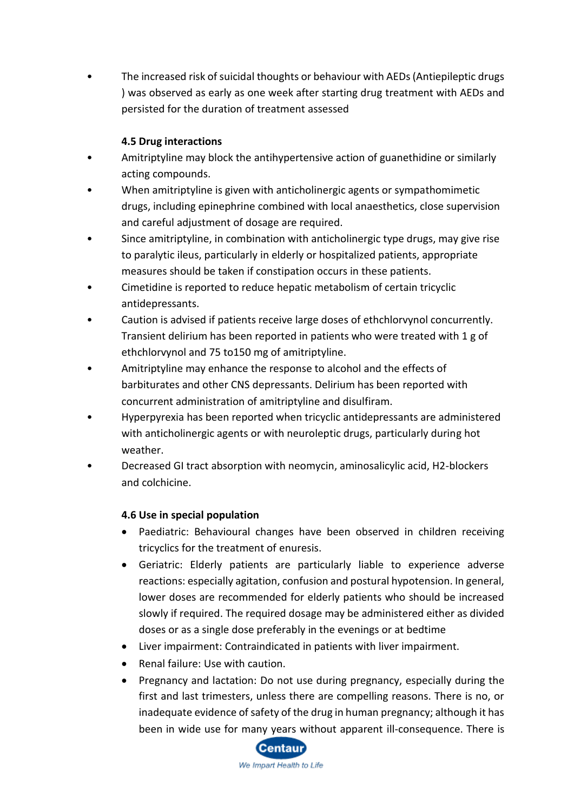• The increased risk of suicidal thoughts or behaviour with AEDs (Antiepileptic drugs ) was observed as early as one week after starting drug treatment with AEDs and persisted for the duration of treatment assessed

# **4.5 Drug interactions**

- Amitriptyline may block the antihypertensive action of guanethidine or similarly acting compounds.
- When amitriptyline is given with anticholinergic agents or sympathomimetic drugs, including epinephrine combined with local anaesthetics, close supervision and careful adjustment of dosage are required.
- Since amitriptyline, in combination with anticholinergic type drugs, may give rise to paralytic ileus, particularly in elderly or hospitalized patients, appropriate measures should be taken if constipation occurs in these patients.
- Cimetidine is reported to reduce hepatic metabolism of certain tricyclic antidepressants.
- Caution is advised if patients receive large doses of ethchlorvynol concurrently. Transient delirium has been reported in patients who were treated with 1 g of ethchlorvynol and 75 to150 mg of amitriptyline.
- Amitriptyline may enhance the response to alcohol and the effects of barbiturates and other CNS depressants. Delirium has been reported with concurrent administration of amitriptyline and disulfiram.
- Hyperpyrexia has been reported when tricyclic antidepressants are administered with anticholinergic agents or with neuroleptic drugs, particularly during hot weather.
- Decreased GI tract absorption with neomycin, aminosalicylic acid, H2-blockers and colchicine.

## **4.6 Use in special population**

- Paediatric: Behavioural changes have been observed in children receiving tricyclics for the treatment of enuresis.
- Geriatric: Elderly patients are particularly liable to experience adverse reactions: especially agitation, confusion and postural hypotension. In general, lower doses are recommended for elderly patients who should be increased slowly if required. The required dosage may be administered either as divided doses or as a single dose preferably in the evenings or at bedtime
- Liver impairment: Contraindicated in patients with liver impairment.
- Renal failure: Use with caution.
- Pregnancy and lactation: Do not use during pregnancy, especially during the first and last trimesters, unless there are compelling reasons. There is no, or inadequate evidence of safety of the drug in human pregnancy; although it has been in wide use for many years without apparent ill-consequence. There is

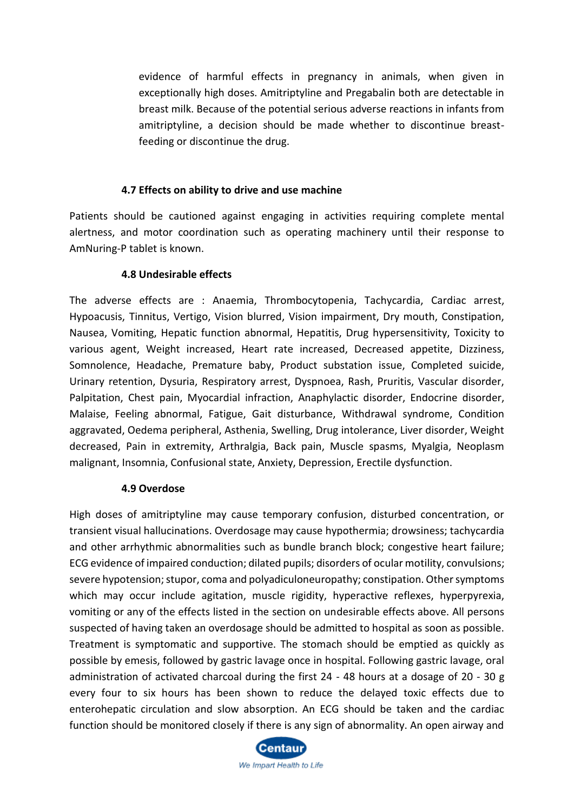evidence of harmful effects in pregnancy in animals, when given in exceptionally high doses. Amitriptyline and Pregabalin both are detectable in breast milk. Because of the potential serious adverse reactions in infants from amitriptyline, a decision should be made whether to discontinue breastfeeding or discontinue the drug.

#### **4.7 Effects on ability to drive and use machine**

Patients should be cautioned against engaging in activities requiring complete mental alertness, and motor coordination such as operating machinery until their response to AmNuring-P tablet is known.

#### **4.8 Undesirable effects**

The adverse effects are : Anaemia, Thrombocytopenia, Tachycardia, Cardiac arrest, Hypoacusis, Tinnitus, Vertigo, Vision blurred, Vision impairment, Dry mouth, Constipation, Nausea, Vomiting, Hepatic function abnormal, Hepatitis, Drug hypersensitivity, Toxicity to various agent, Weight increased, Heart rate increased, Decreased appetite, Dizziness, Somnolence, Headache, Premature baby, Product substation issue, Completed suicide, Urinary retention, Dysuria, Respiratory arrest, Dyspnoea, Rash, Pruritis, Vascular disorder, Palpitation, Chest pain, Myocardial infraction, Anaphylactic disorder, Endocrine disorder, Malaise, Feeling abnormal, Fatigue, Gait disturbance, Withdrawal syndrome, Condition aggravated, Oedema peripheral, Asthenia, Swelling, Drug intolerance, Liver disorder, Weight decreased, Pain in extremity, Arthralgia, Back pain, Muscle spasms, Myalgia, Neoplasm malignant, Insomnia, Confusional state, Anxiety, Depression, Erectile dysfunction.

#### **4.9 Overdose**

High doses of amitriptyline may cause temporary confusion, disturbed concentration, or transient visual hallucinations. Overdosage may cause hypothermia; drowsiness; tachycardia and other arrhythmic abnormalities such as bundle branch block; congestive heart failure; ECG evidence of impaired conduction; dilated pupils; disorders of ocular motility, convulsions; severe hypotension; stupor, coma and polyadiculoneuropathy; constipation. Other symptoms which may occur include agitation, muscle rigidity, hyperactive reflexes, hyperpyrexia, vomiting or any of the effects listed in the section on undesirable effects above. All persons suspected of having taken an overdosage should be admitted to hospital as soon as possible. Treatment is symptomatic and supportive. The stomach should be emptied as quickly as possible by emesis, followed by gastric lavage once in hospital. Following gastric lavage, oral administration of activated charcoal during the first 24 - 48 hours at a dosage of 20 - 30 g every four to six hours has been shown to reduce the delayed toxic effects due to enterohepatic circulation and slow absorption. An ECG should be taken and the cardiac function should be monitored closely if there is any sign of abnormality. An open airway and

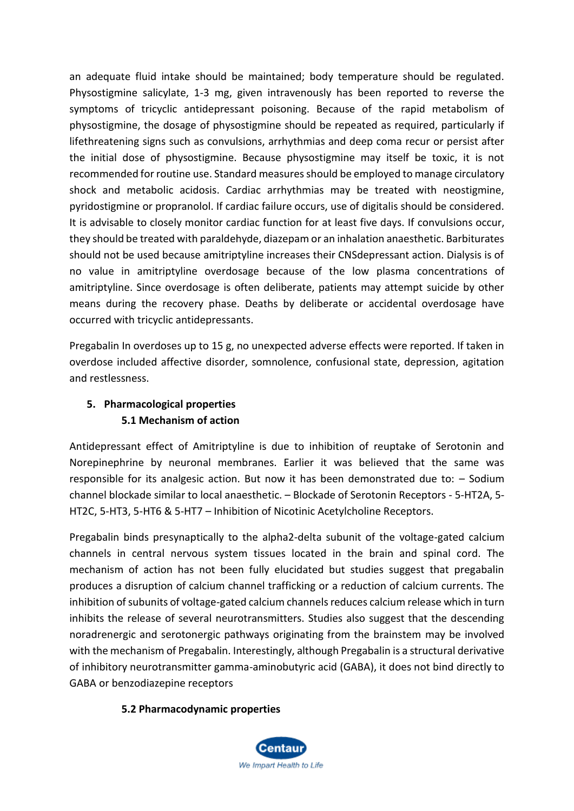an adequate fluid intake should be maintained; body temperature should be regulated. Physostigmine salicylate, 1-3 mg, given intravenously has been reported to reverse the symptoms of tricyclic antidepressant poisoning. Because of the rapid metabolism of physostigmine, the dosage of physostigmine should be repeated as required, particularly if lifethreatening signs such as convulsions, arrhythmias and deep coma recur or persist after the initial dose of physostigmine. Because physostigmine may itself be toxic, it is not recommended for routine use. Standard measures should be employed to manage circulatory shock and metabolic acidosis. Cardiac arrhythmias may be treated with neostigmine, pyridostigmine or propranolol. If cardiac failure occurs, use of digitalis should be considered. It is advisable to closely monitor cardiac function for at least five days. If convulsions occur, they should be treated with paraldehyde, diazepam or an inhalation anaesthetic. Barbiturates should not be used because amitriptyline increases their CNSdepressant action. Dialysis is of no value in amitriptyline overdosage because of the low plasma concentrations of amitriptyline. Since overdosage is often deliberate, patients may attempt suicide by other means during the recovery phase. Deaths by deliberate or accidental overdosage have occurred with tricyclic antidepressants.

Pregabalin In overdoses up to 15 g, no unexpected adverse effects were reported. If taken in overdose included affective disorder, somnolence, confusional state, depression, agitation and restlessness.

# **5. Pharmacological properties 5.1 Mechanism of action**

Antidepressant effect of Amitriptyline is due to inhibition of reuptake of Serotonin and Norepinephrine by neuronal membranes. Earlier it was believed that the same was responsible for its analgesic action. But now it has been demonstrated due to: – Sodium channel blockade similar to local anaesthetic. – Blockade of Serotonin Receptors - 5-HT2A, 5- HT2C, 5-HT3, 5-HT6 & 5-HT7 – Inhibition of Nicotinic Acetylcholine Receptors.

Pregabalin binds presynaptically to the alpha2-delta subunit of the voltage-gated calcium channels in central nervous system tissues located in the brain and spinal cord. The mechanism of action has not been fully elucidated but studies suggest that pregabalin produces a disruption of calcium channel trafficking or a reduction of calcium currents. The inhibition of subunits of voltage-gated calcium channels reduces calcium release which in turn inhibits the release of several neurotransmitters. Studies also suggest that the descending noradrenergic and serotonergic pathways originating from the brainstem may be involved with the mechanism of Pregabalin. Interestingly, although Pregabalin is a structural derivative of inhibitory neurotransmitter gamma-aminobutyric acid (GABA), it does not bind directly to GABA or benzodiazepine receptors

## **5.2 Pharmacodynamic properties**

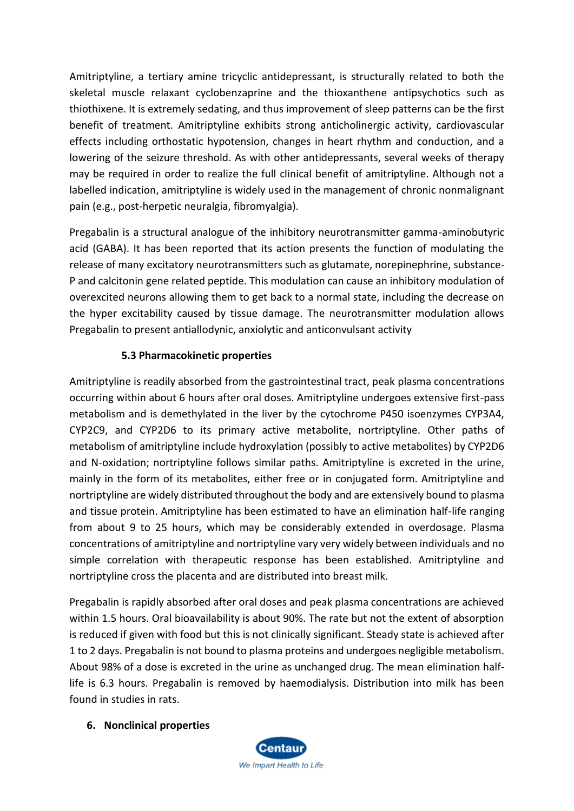Amitriptyline, a tertiary amine tricyclic antidepressant, is structurally related to both the skeletal muscle relaxant cyclobenzaprine and the thioxanthene antipsychotics such as thiothixene. It is extremely sedating, and thus improvement of sleep patterns can be the first benefit of treatment. Amitriptyline exhibits strong anticholinergic activity, cardiovascular effects including orthostatic hypotension, changes in heart rhythm and conduction, and a lowering of the seizure threshold. As with other antidepressants, several weeks of therapy may be required in order to realize the full clinical benefit of amitriptyline. Although not a labelled indication, amitriptyline is widely used in the management of chronic nonmalignant pain (e.g., post-herpetic neuralgia, fibromyalgia).

Pregabalin is a structural analogue of the inhibitory neurotransmitter gamma-aminobutyric acid (GABA). It has been reported that its action presents the function of modulating the release of many excitatory neurotransmitters such as glutamate, norepinephrine, substance-P and calcitonin gene related peptide. This modulation can cause an inhibitory modulation of overexcited neurons allowing them to get back to a normal state, including the decrease on the hyper excitability caused by tissue damage. The neurotransmitter modulation allows Pregabalin to present antiallodynic, anxiolytic and anticonvulsant activity

## **5.3 Pharmacokinetic properties**

Amitriptyline is readily absorbed from the gastrointestinal tract, peak plasma concentrations occurring within about 6 hours after oral doses. Amitriptyline undergoes extensive first-pass metabolism and is demethylated in the liver by the cytochrome P450 isoenzymes CYP3A4, CYP2C9, and CYP2D6 to its primary active metabolite, nortriptyline. Other paths of metabolism of amitriptyline include hydroxylation (possibly to active metabolites) by CYP2D6 and N-oxidation; nortriptyline follows similar paths. Amitriptyline is excreted in the urine, mainly in the form of its metabolites, either free or in conjugated form. Amitriptyline and nortriptyline are widely distributed throughout the body and are extensively bound to plasma and tissue protein. Amitriptyline has been estimated to have an elimination half-life ranging from about 9 to 25 hours, which may be considerably extended in overdosage. Plasma concentrations of amitriptyline and nortriptyline vary very widely between individuals and no simple correlation with therapeutic response has been established. Amitriptyline and nortriptyline cross the placenta and are distributed into breast milk.

Pregabalin is rapidly absorbed after oral doses and peak plasma concentrations are achieved within 1.5 hours. Oral bioavailability is about 90%. The rate but not the extent of absorption is reduced if given with food but this is not clinically significant. Steady state is achieved after 1 to 2 days. Pregabalin is not bound to plasma proteins and undergoes negligible metabolism. About 98% of a dose is excreted in the urine as unchanged drug. The mean elimination halflife is 6.3 hours. Pregabalin is removed by haemodialysis. Distribution into milk has been found in studies in rats.

## **6. Nonclinical properties**

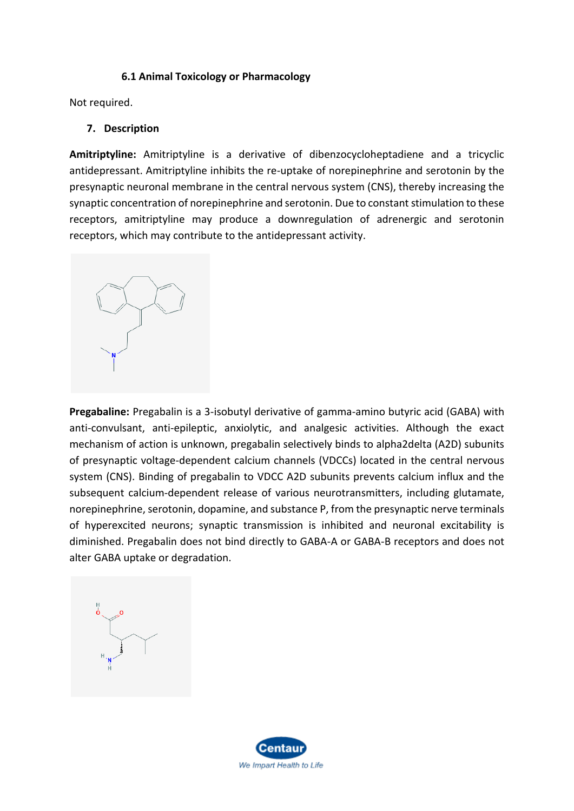#### **6.1 Animal Toxicology or Pharmacology**

Not required.

#### **7. Description**

**Amitriptyline:** Amitriptyline is a derivative of dibenzocycloheptadiene and a tricyclic antidepressant. Amitriptyline inhibits the re-uptake of norepinephrine and serotonin by the presynaptic neuronal membrane in the central nervous system (CNS), thereby increasing the synaptic concentration of norepinephrine and serotonin. Due to constant stimulation to these receptors, amitriptyline may produce a downregulation of adrenergic and serotonin receptors, which may contribute to the antidepressant activity.



**Pregabaline:** Pregabalin is a 3-isobutyl derivative of gamma-amino butyric acid (GABA) with anti-convulsant, anti-epileptic, anxiolytic, and analgesic activities. Although the exact mechanism of action is unknown, pregabalin selectively binds to alpha2delta (A2D) subunits of presynaptic voltage-dependent calcium channels (VDCCs) located in the central nervous system (CNS). Binding of pregabalin to VDCC A2D subunits prevents calcium influx and the subsequent calcium-dependent release of various neurotransmitters, including glutamate, norepinephrine, serotonin, dopamine, and substance P, from the presynaptic nerve terminals of hyperexcited neurons; synaptic transmission is inhibited and neuronal excitability is diminished. Pregabalin does not bind directly to GABA-A or GABA-B receptors and does not alter GABA uptake or degradation.



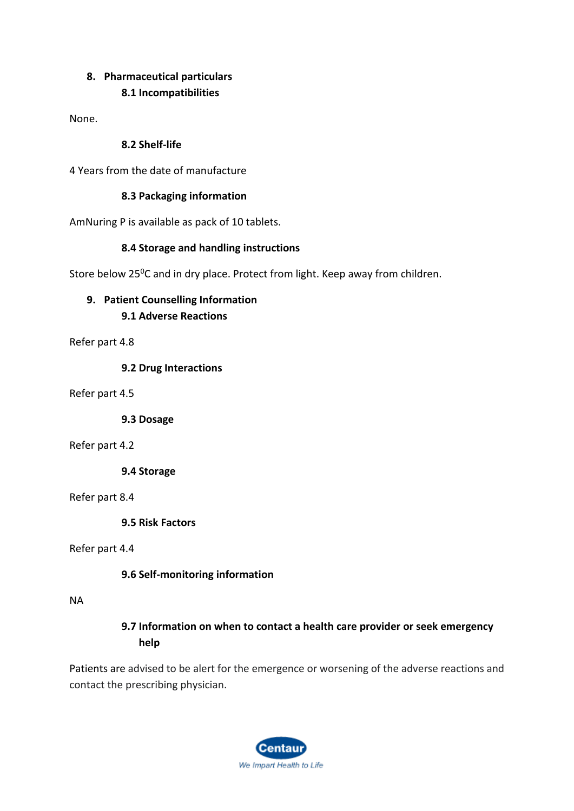## **8. Pharmaceutical particulars 8.1 Incompatibilities**

None.

## **8.2 Shelf-life**

4 Years from the date of manufacture

## **8.3 Packaging information**

AmNuring P is available as pack of 10 tablets.

## **8.4 Storage and handling instructions**

Store below  $25^{\circ}$ C and in dry place. Protect from light. Keep away from children.

# **9. Patient Counselling Information**

**9.1 Adverse Reactions**

Refer part 4.8

**9.2 Drug Interactions**

Refer part 4.5

**9.3 Dosage**

#### Refer part 4.2

**9.4 Storage**

Refer part 8.4

**9.5 Risk Factors**

Refer part 4.4

## **9.6 Self-monitoring information**

#### NA

# **9.7 Information on when to contact a health care provider or seek emergency help**

Patients are advised to be alert for the emergence or worsening of the adverse reactions and contact the prescribing physician.